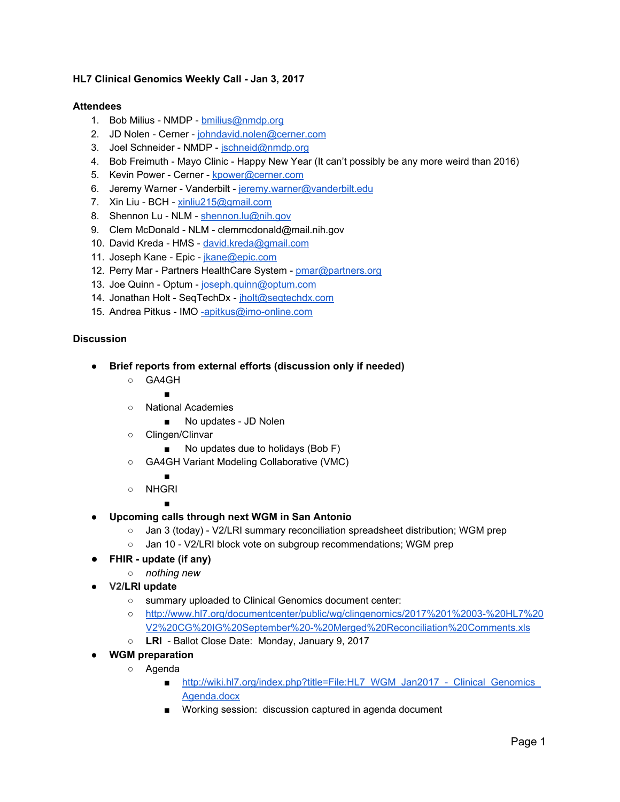## **HL7 Clinical Genomics Weekly Call - Jan 3, 2017**

## **Attendees**

- 1. Bob Milius NMDP [bmilius@nmdp.org](mailto:bmilius@nmdp.org)
- 2. JD Nolen Cerner - [johndavid.nolen@cerner.com](mailto:johndavid.nolen@cerner.com)
- 3. Joel Schneider NMDP - [jschneid@nmdp.org](mailto:jschneid@nmdp.org)
- 4. Bob Freimuth Mayo Clinic Happy New Year (It can't possibly be any more weird than 2016)
- 5. Kevin Power Cerner - [kpower@cerner.com](mailto:kpower@cerner.com)
- 6. Jeremy Warner Vanderbilt [jeremy.warner@vanderbilt.edu](mailto:jeremy.warner@vanderbilt.edu)
- 7. Xin Liu BCH [xinliu215@gmail.com](mailto:xinliu215@gmail.com)
- 8. Shennon Lu NLM - [shennon.lu@nih.gov](mailto:shennon.lu@nih.gov)
- 9. Clem McDonald NLM clemmcdonald@mail.nih.gov
- 10. David Kreda HMS - [david.kreda@gmail.com](mailto:david.kreda@gmail.com)
- 11. Joseph Kane Epic - [jkane@epic.com](mailto:jkane@epic.com)
- 12. Perry Mar Partners HealthCare System - [pmar@partners.org](mailto:pmar@partners.org)
- 13. Joe Quinn Optum [joseph.quinn@optum.com](mailto:joseph.quinn@optum.com)
- 14. Jonathan Holt SeqTechDx - [jholt@seqtechdx.com](mailto:jholt@seqtechdx.com)
- 15. Andrea Pitkus IMO [-apitkus@imo-online.com](mailto:-apitkus@imo-online.com)

## **Discussion**

- **● Brief reports from external efforts (discussion only if needed)**
	- GA4GH
		- ■
	- National Academies
		- No updates JD Nolen
	- Clingen/Clinvar
		- No updates due to holidays (Bob F)
	- GA4GH Variant Modeling Collaborative (VMC)
		- ■
	- NHGRI

■

- **● Upcoming calls through next WGM in San Antonio**
	- Jan 3 (today) V2/LRI summary reconciliation spreadsheet distribution; WGM prep
	- Jan 10 V2/LRI block vote on subgroup recommendations; WGM prep
- **FHIR update (if any)**
	- *nothing new*
- **● V2/LRI update**
	- summary uploaded to Clinical Genomics document center:
	- [http://www.hl7.org/documentcenter/public/wg/clingenomics/2017%201%2003-%20HL7%20](http://www.hl7.org/documentcenter/public/wg/clingenomics/2017%201%2003-%20HL7%20V2%20CG%20IG%20September%20-%20Merged%20Reconciliation%20Comments.xls) [V2%20CG%20IG%20September%20-%20Merged%20Reconciliation%20Comments.xls](http://www.hl7.org/documentcenter/public/wg/clingenomics/2017%201%2003-%20HL7%20V2%20CG%20IG%20September%20-%20Merged%20Reconciliation%20Comments.xls)
	- **LRI** Ballot Close Date: Monday, January 9, 2017
- **● WGM preparation**
	- Agenda
		- [http://wiki.hl7.org/index.php?title=File:HL7\\_WGM\\_Jan2017\\_-\\_Clinical\\_Genomics\\_](http://wiki.hl7.org/index.php?title=File:HL7_WGM_Jan2017_-_Clinical_Genomics_Agenda.docx) [Agenda.docx](http://wiki.hl7.org/index.php?title=File:HL7_WGM_Jan2017_-_Clinical_Genomics_Agenda.docx)
		- Working session: discussion captured in agenda document